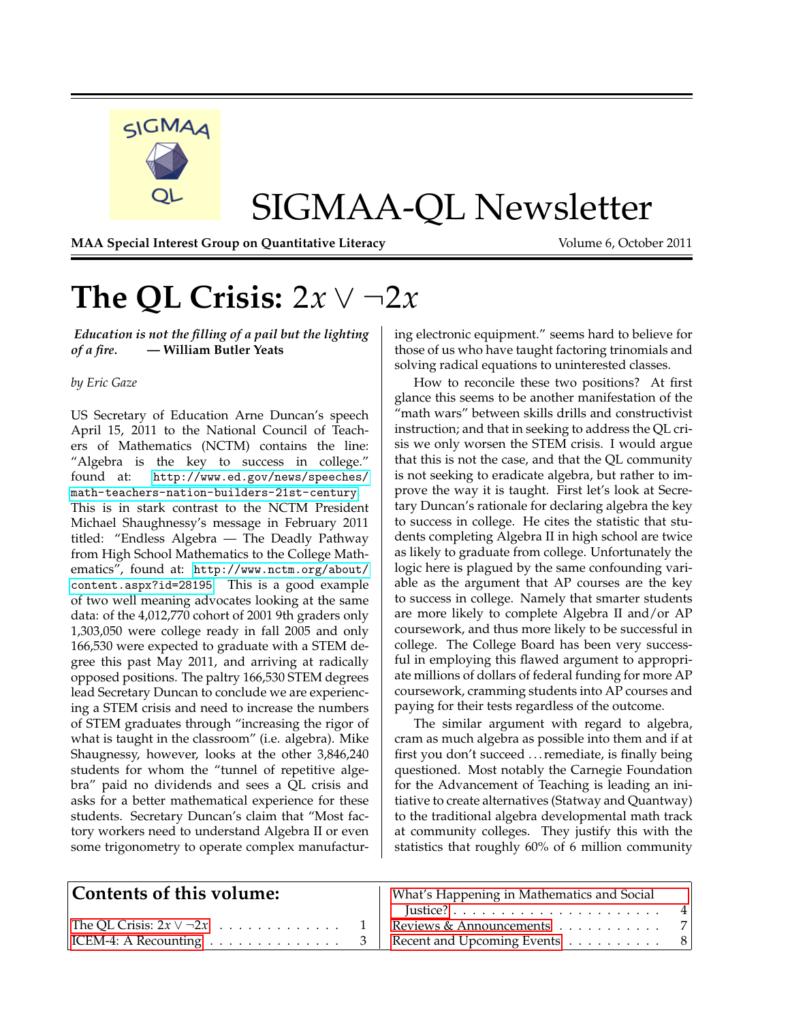

# SIGMAA-QL Newsletter

**MAA Special Interest Group on Quantitative Literacy Volume 6, October 2011** 

# <span id="page-0-0"></span>**The QL Crisis:** 2*x* ∨ ¬2*x*

*Education is not the filling of a pail but the lighting of a fire.* **— William Butler Yeats**

### *by Eric Gaze*

US Secretary of Education Arne Duncan's speech April 15, 2011 to the National Council of Teachers of Mathematics (NCTM) contains the line: "Algebra is the key to success in college." found at: [http://www.ed.gov/news/speeches/](http://www.ed.gov/news/speeches/math-teachers-nation-builders-21st-century) [math-teachers-nation-builders-21st-century](http://www.ed.gov/news/speeches/math-teachers-nation-builders-21st-century). This is in stark contrast to the NCTM President Michael Shaughnessy's message in February 2011 titled: "Endless Algebra — The Deadly Pathway from High School Mathematics to the College Mathematics", found at: [http://www.nctm.org/about/](http://www.nctm.org/about/content.aspx?id=28195) [content.aspx?id=28195](http://www.nctm.org/about/content.aspx?id=28195). This is a good example of two well meaning advocates looking at the same data: of the 4,012,770 cohort of 2001 9th graders only 1,303,050 were college ready in fall 2005 and only 166,530 were expected to graduate with a STEM degree this past May 2011, and arriving at radically opposed positions. The paltry 166,530 STEM degrees lead Secretary Duncan to conclude we are experiencing a STEM crisis and need to increase the numbers of STEM graduates through "increasing the rigor of what is taught in the classroom" (i.e. algebra). Mike Shaugnessy, however, looks at the other 3,846,240 students for whom the "tunnel of repetitive algebra" paid no dividends and sees a QL crisis and asks for a better mathematical experience for these students. Secretary Duncan's claim that "Most factory workers need to understand Algebra II or even some trigonometry to operate complex manufacturing electronic equipment." seems hard to believe for those of us who have taught factoring trinomials and solving radical equations to uninterested classes.

How to reconcile these two positions? At first glance this seems to be another manifestation of the "math wars" between skills drills and constructivist instruction; and that in seeking to address the QL crisis we only worsen the STEM crisis. I would argue that this is not the case, and that the QL community is not seeking to eradicate algebra, but rather to improve the way it is taught. First let's look at Secretary Duncan's rationale for declaring algebra the key to success in college. He cites the statistic that students completing Algebra II in high school are twice as likely to graduate from college. Unfortunately the logic here is plagued by the same confounding variable as the argument that AP courses are the key to success in college. Namely that smarter students are more likely to complete Algebra II and/or AP coursework, and thus more likely to be successful in college. The College Board has been very successful in employing this flawed argument to appropriate millions of dollars of federal funding for more AP coursework, cramming students into AP courses and paying for their tests regardless of the outcome.

The similar argument with regard to algebra, cram as much algebra as possible into them and if at first you don't succeed . . . remediate, is finally being questioned. Most notably the Carnegie Foundation for the Advancement of Teaching is leading an initiative to create alternatives (Statway and Quantway) to the traditional algebra developmental math track at community colleges. They justify this with the statistics that roughly 60% of 6 million community

| Contents of this volume: | What's Happening in Mathematics and Social                    |  |
|--------------------------|---------------------------------------------------------------|--|
|                          |                                                               |  |
|                          |                                                               |  |
|                          | $\vert$ ICEM-4: A Recounting 3   Recent and Upcoming Events 8 |  |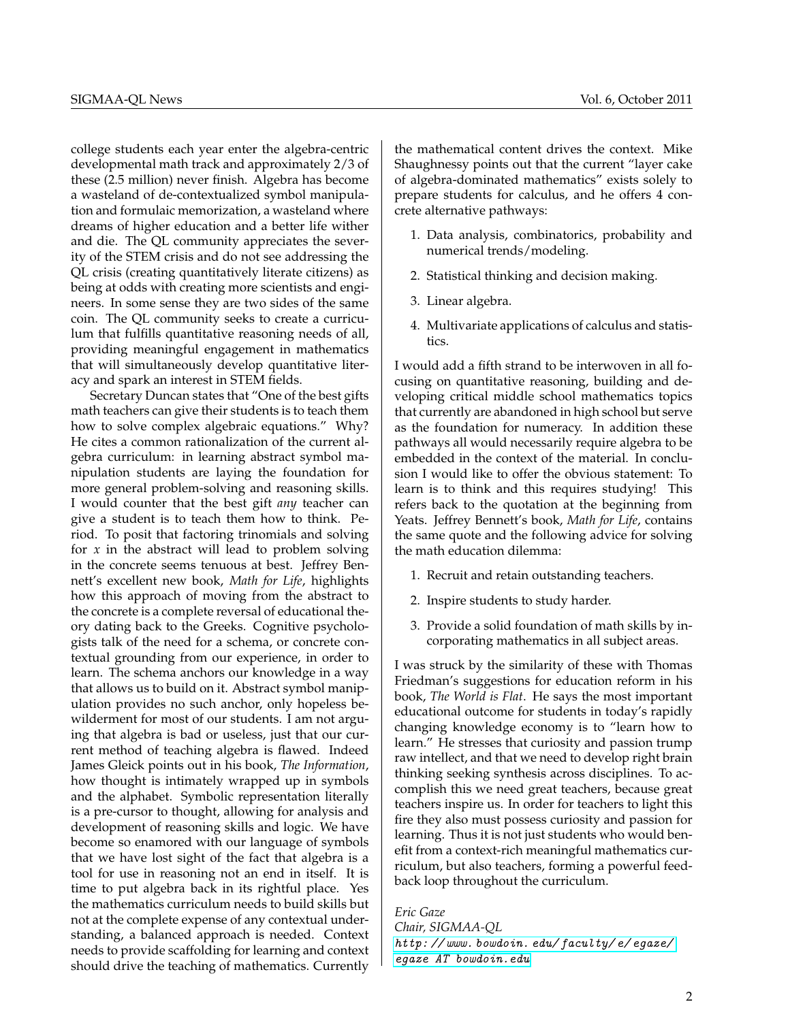college students each year enter the algebra-centric developmental math track and approximately 2/3 of these (2.5 million) never finish. Algebra has become a wasteland of de-contextualized symbol manipulation and formulaic memorization, a wasteland where dreams of higher education and a better life wither and die. The QL community appreciates the severity of the STEM crisis and do not see addressing the QL crisis (creating quantitatively literate citizens) as being at odds with creating more scientists and engineers. In some sense they are two sides of the same coin. The QL community seeks to create a curriculum that fulfills quantitative reasoning needs of all, providing meaningful engagement in mathematics that will simultaneously develop quantitative literacy and spark an interest in STEM fields.

Secretary Duncan states that "One of the best gifts math teachers can give their students is to teach them how to solve complex algebraic equations." Why? He cites a common rationalization of the current algebra curriculum: in learning abstract symbol manipulation students are laying the foundation for more general problem-solving and reasoning skills. I would counter that the best gift *any* teacher can give a student is to teach them how to think. Period. To posit that factoring trinomials and solving for *x* in the abstract will lead to problem solving in the concrete seems tenuous at best. Jeffrey Bennett's excellent new book, *Math for Life*, highlights how this approach of moving from the abstract to the concrete is a complete reversal of educational theory dating back to the Greeks. Cognitive psychologists talk of the need for a schema, or concrete contextual grounding from our experience, in order to learn. The schema anchors our knowledge in a way that allows us to build on it. Abstract symbol manipulation provides no such anchor, only hopeless bewilderment for most of our students. I am not arguing that algebra is bad or useless, just that our current method of teaching algebra is flawed. Indeed James Gleick points out in his book, *The Information*, how thought is intimately wrapped up in symbols and the alphabet. Symbolic representation literally is a pre-cursor to thought, allowing for analysis and development of reasoning skills and logic. We have become so enamored with our language of symbols that we have lost sight of the fact that algebra is a tool for use in reasoning not an end in itself. It is time to put algebra back in its rightful place. Yes the mathematics curriculum needs to build skills but not at the complete expense of any contextual understanding, a balanced approach is needed. Context needs to provide scaffolding for learning and context should drive the teaching of mathematics. Currently

the mathematical content drives the context. Mike Shaughnessy points out that the current "layer cake of algebra-dominated mathematics" exists solely to prepare students for calculus, and he offers 4 concrete alternative pathways:

- 1. Data analysis, combinatorics, probability and numerical trends/modeling.
- 2. Statistical thinking and decision making.
- 3. Linear algebra.
- 4. Multivariate applications of calculus and statistics.

I would add a fifth strand to be interwoven in all focusing on quantitative reasoning, building and developing critical middle school mathematics topics that currently are abandoned in high school but serve as the foundation for numeracy. In addition these pathways all would necessarily require algebra to be embedded in the context of the material. In conclusion I would like to offer the obvious statement: To learn is to think and this requires studying! This refers back to the quotation at the beginning from Yeats. Jeffrey Bennett's book, *Math for Life*, contains the same quote and the following advice for solving the math education dilemma:

- 1. Recruit and retain outstanding teachers.
- 2. Inspire students to study harder.
- 3. Provide a solid foundation of math skills by incorporating mathematics in all subject areas.

I was struck by the similarity of these with Thomas Friedman's suggestions for education reform in his book, *The World is Flat*. He says the most important educational outcome for students in today's rapidly changing knowledge economy is to "learn how to learn." He stresses that curiosity and passion trump raw intellect, and that we need to develop right brain thinking seeking synthesis across disciplines. To accomplish this we need great teachers, because great teachers inspire us. In order for teachers to light this fire they also must possess curiosity and passion for learning. Thus it is not just students who would benefit from a context-rich meaningful mathematics curriculum, but also teachers, forming a powerful feedback loop throughout the curriculum.

*Eric Gaze*

*Chair, SIGMAA-QL* [http: // www. bowdoin. edu/ faculty/ e/ egaze/](http://www.bowdoin.edu/faculty/e/egaze/) [egaze AT bowdoin.edu](mailto:egaze@bowdoin.edu)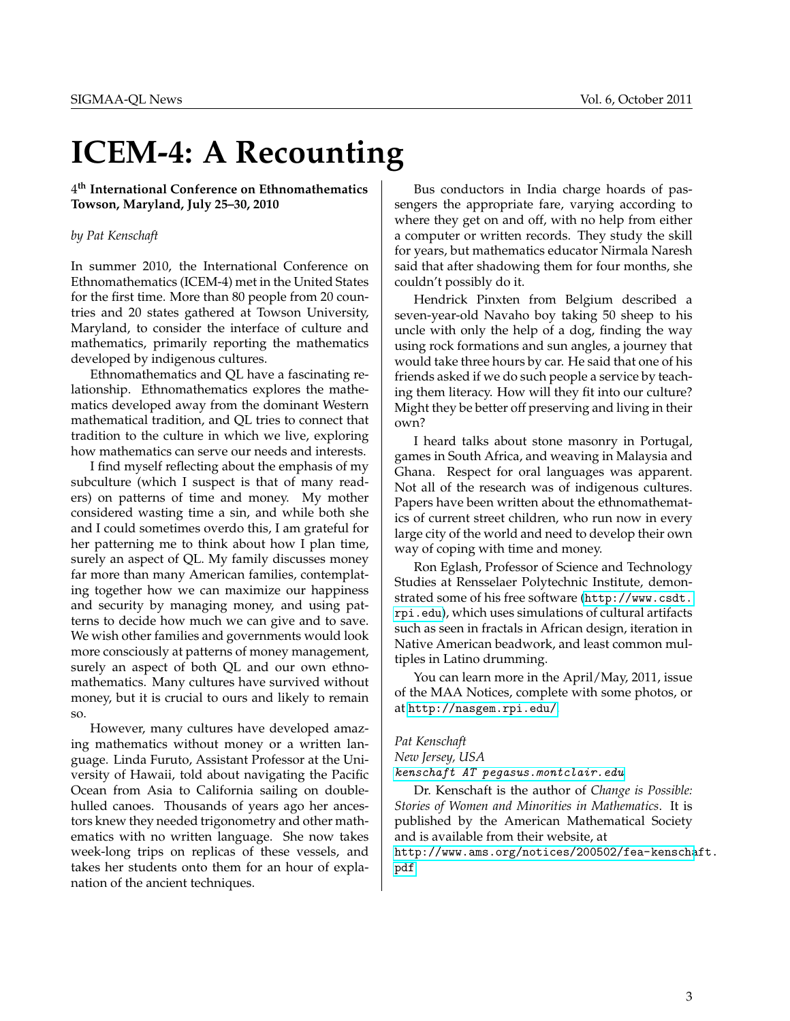# <span id="page-2-0"></span>**ICEM-4: A Recounting**

4 **th International Conference on Ethnomathematics Towson, Maryland, July 25–30, 2010**

### *by Pat Kenschaft*

In summer 2010, the International Conference on Ethnomathematics (ICEM-4) met in the United States for the first time. More than 80 people from 20 countries and 20 states gathered at Towson University, Maryland, to consider the interface of culture and mathematics, primarily reporting the mathematics developed by indigenous cultures.

Ethnomathematics and QL have a fascinating relationship. Ethnomathematics explores the mathematics developed away from the dominant Western mathematical tradition, and QL tries to connect that tradition to the culture in which we live, exploring how mathematics can serve our needs and interests.

I find myself reflecting about the emphasis of my subculture (which I suspect is that of many readers) on patterns of time and money. My mother considered wasting time a sin, and while both she and I could sometimes overdo this, I am grateful for her patterning me to think about how I plan time, surely an aspect of QL. My family discusses money far more than many American families, contemplating together how we can maximize our happiness and security by managing money, and using patterns to decide how much we can give and to save. We wish other families and governments would look more consciously at patterns of money management, surely an aspect of both QL and our own ethnomathematics. Many cultures have survived without money, but it is crucial to ours and likely to remain so.

However, many cultures have developed amazing mathematics without money or a written language. Linda Furuto, Assistant Professor at the University of Hawaii, told about navigating the Pacific Ocean from Asia to California sailing on doublehulled canoes. Thousands of years ago her ancestors knew they needed trigonometry and other mathematics with no written language. She now takes week-long trips on replicas of these vessels, and takes her students onto them for an hour of explanation of the ancient techniques.

Bus conductors in India charge hoards of passengers the appropriate fare, varying according to where they get on and off, with no help from either a computer or written records. They study the skill for years, but mathematics educator Nirmala Naresh said that after shadowing them for four months, she couldn't possibly do it.

Hendrick Pinxten from Belgium described a seven-year-old Navaho boy taking 50 sheep to his uncle with only the help of a dog, finding the way using rock formations and sun angles, a journey that would take three hours by car. He said that one of his friends asked if we do such people a service by teaching them literacy. How will they fit into our culture? Might they be better off preserving and living in their own?

I heard talks about stone masonry in Portugal, games in South Africa, and weaving in Malaysia and Ghana. Respect for oral languages was apparent. Not all of the research was of indigenous cultures. Papers have been written about the ethnomathematics of current street children, who run now in every large city of the world and need to develop their own way of coping with time and money.

Ron Eglash, Professor of Science and Technology Studies at Rensselaer Polytechnic Institute, demonstrated some of his free software ([http://www.csdt.](http://www.csdt.rpi.edu) [rpi.edu](http://www.csdt.rpi.edu)), which uses simulations of cultural artifacts such as seen in fractals in African design, iteration in Native American beadwork, and least common multiples in Latino drumming.

You can learn more in the April/May, 2011, issue of the MAA Notices, complete with some photos, or at <http://nasgem.rpi.edu/>.

#### *Pat Kenschaft*

*New Jersey, USA* [kenschaft AT pegasus.montclair.edu](mailto:kenschaft@pegasus.montclair.edu)

Dr. Kenschaft is the author of *Change is Possible: Stories of Women and Minorities in Mathematics*. It is published by the American Mathematical Society and is available from their website, at [http://www.ams.org/notices/200502/fea-kenscha](http://www.ams.org/notices/200502/fea-kenschaft.pdf)ft. [pdf](http://www.ams.org/notices/200502/fea-kenschaft.pdf)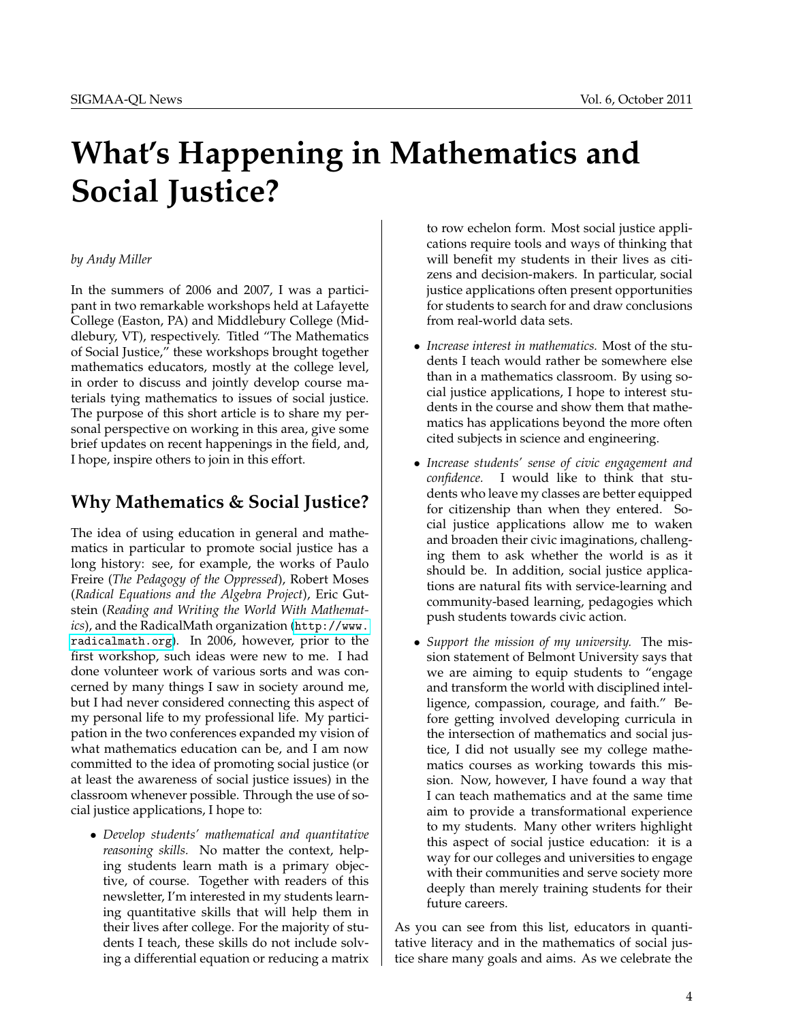# <span id="page-3-0"></span>**What's Happening in Mathematics and Social Justice?**

### *by Andy Miller*

In the summers of 2006 and 2007, I was a participant in two remarkable workshops held at Lafayette College (Easton, PA) and Middlebury College (Middlebury, VT), respectively. Titled "The Mathematics of Social Justice," these workshops brought together mathematics educators, mostly at the college level, in order to discuss and jointly develop course materials tying mathematics to issues of social justice. The purpose of this short article is to share my personal perspective on working in this area, give some brief updates on recent happenings in the field, and, I hope, inspire others to join in this effort.

## **Why Mathematics & Social Justice?**

The idea of using education in general and mathematics in particular to promote social justice has a long history: see, for example, the works of Paulo Freire (*The Pedagogy of the Oppressed*), Robert Moses (*Radical Equations and the Algebra Project*), Eric Gutstein (*Reading and Writing the World With Mathematics*), and the RadicalMath organization ([http://www.](http://www.radicalmath.org) [radicalmath.org](http://www.radicalmath.org)). In 2006, however, prior to the first workshop, such ideas were new to me. I had done volunteer work of various sorts and was concerned by many things I saw in society around me, but I had never considered connecting this aspect of my personal life to my professional life. My participation in the two conferences expanded my vision of what mathematics education can be, and I am now committed to the idea of promoting social justice (or at least the awareness of social justice issues) in the classroom whenever possible. Through the use of social justice applications, I hope to:

• *Develop students' mathematical and quantitative reasoning skills.* No matter the context, helping students learn math is a primary objective, of course. Together with readers of this newsletter, I'm interested in my students learning quantitative skills that will help them in their lives after college. For the majority of students I teach, these skills do not include solving a differential equation or reducing a matrix

to row echelon form. Most social justice applications require tools and ways of thinking that will benefit my students in their lives as citizens and decision-makers. In particular, social justice applications often present opportunities for students to search for and draw conclusions from real-world data sets.

- *Increase interest in mathematics.* Most of the students I teach would rather be somewhere else than in a mathematics classroom. By using social justice applications, I hope to interest students in the course and show them that mathematics has applications beyond the more often cited subjects in science and engineering.
- *Increase students' sense of civic engagement and confidence.* I would like to think that students who leave my classes are better equipped for citizenship than when they entered. Social justice applications allow me to waken and broaden their civic imaginations, challenging them to ask whether the world is as it should be. In addition, social justice applications are natural fits with service-learning and community-based learning, pedagogies which push students towards civic action.
- *Support the mission of my university.* The mission statement of Belmont University says that we are aiming to equip students to "engage and transform the world with disciplined intelligence, compassion, courage, and faith." Before getting involved developing curricula in the intersection of mathematics and social justice, I did not usually see my college mathematics courses as working towards this mission. Now, however, I have found a way that I can teach mathematics and at the same time aim to provide a transformational experience to my students. Many other writers highlight this aspect of social justice education: it is a way for our colleges and universities to engage with their communities and serve society more deeply than merely training students for their future careers.

As you can see from this list, educators in quantitative literacy and in the mathematics of social justice share many goals and aims. As we celebrate the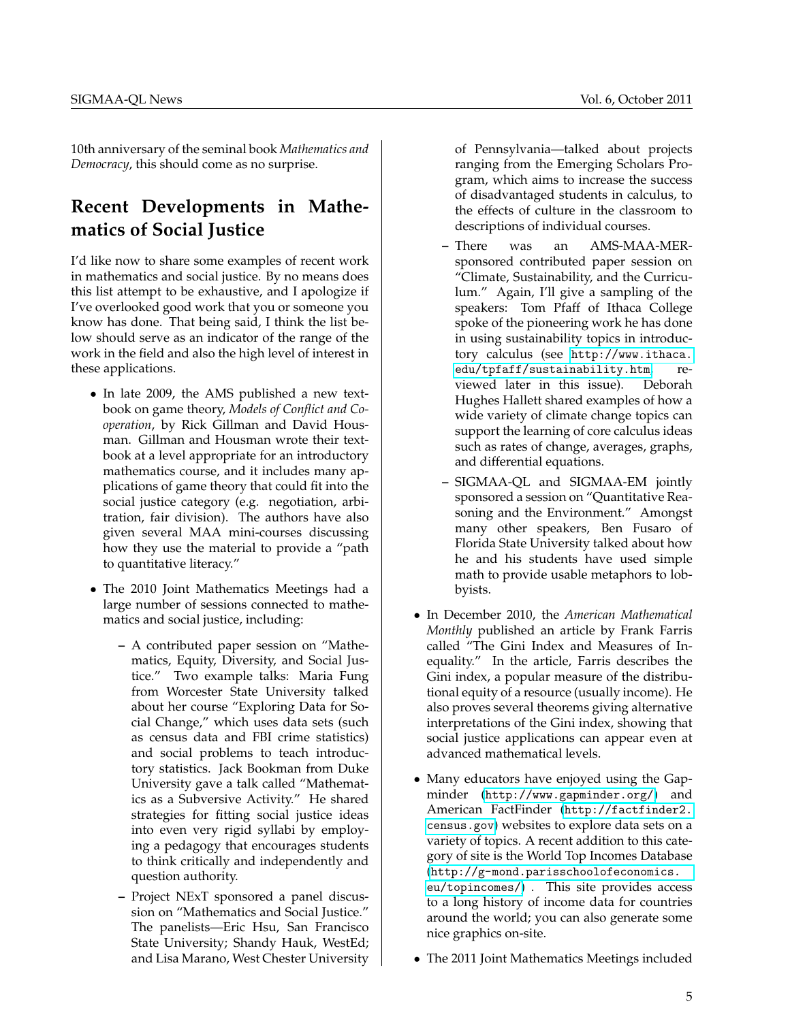10th anniversary of the seminal book *Mathematics and Democracy*, this should come as no surprise.

## **Recent Developments in Mathematics of Social Justice**

I'd like now to share some examples of recent work in mathematics and social justice. By no means does this list attempt to be exhaustive, and I apologize if I've overlooked good work that you or someone you know has done. That being said, I think the list below should serve as an indicator of the range of the work in the field and also the high level of interest in these applications.

- In late 2009, the AMS published a new textbook on game theory, *Models of Conflict and Cooperation*, by Rick Gillman and David Housman. Gillman and Housman wrote their textbook at a level appropriate for an introductory mathematics course, and it includes many applications of game theory that could fit into the social justice category (e.g. negotiation, arbitration, fair division). The authors have also given several MAA mini-courses discussing how they use the material to provide a "path to quantitative literacy."
- The 2010 Joint Mathematics Meetings had a large number of sessions connected to mathematics and social justice, including:
	- **–** A contributed paper session on "Mathematics, Equity, Diversity, and Social Justice." Two example talks: Maria Fung from Worcester State University talked about her course "Exploring Data for Social Change," which uses data sets (such as census data and FBI crime statistics) and social problems to teach introductory statistics. Jack Bookman from Duke University gave a talk called "Mathematics as a Subversive Activity." He shared strategies for fitting social justice ideas into even very rigid syllabi by employing a pedagogy that encourages students to think critically and independently and question authority.
	- **–** Project NExT sponsored a panel discussion on "Mathematics and Social Justice." The panelists—Eric Hsu, San Francisco State University; Shandy Hauk, WestEd; and Lisa Marano, West Chester University

of Pennsylvania—talked about projects ranging from the Emerging Scholars Program, which aims to increase the success of disadvantaged students in calculus, to the effects of culture in the classroom to descriptions of individual courses.

- **–** There was an AMS-MAA-MERsponsored contributed paper session on "Climate, Sustainability, and the Curriculum." Again, I'll give a sampling of the speakers: Tom Pfaff of Ithaca College spoke of the pioneering work he has done in using sustainability topics in introductory calculus (see [http://www.ithaca.](http://www.ithaca.edu/tpfaff/sustainability.htm) [edu/tpfaff/sustainability.htm](http://www.ithaca.edu/tpfaff/sustainability.htm), reviewed later in this issue). Deborah Hughes Hallett shared examples of how a wide variety of climate change topics can support the learning of core calculus ideas such as rates of change, averages, graphs, and differential equations.
- **–** SIGMAA-QL and SIGMAA-EM jointly sponsored a session on "Quantitative Reasoning and the Environment." Amongst many other speakers, Ben Fusaro of Florida State University talked about how he and his students have used simple math to provide usable metaphors to lobbyists.
- In December 2010, the *American Mathematical Monthly* published an article by Frank Farris called "The Gini Index and Measures of Inequality." In the article, Farris describes the Gini index, a popular measure of the distributional equity of a resource (usually income). He also proves several theorems giving alternative interpretations of the Gini index, showing that social justice applications can appear even at advanced mathematical levels.
- Many educators have enjoyed using the Gapminder (<http://www.gapminder.org/>) and American FactFinder ([http://factfinder2.](http://factfinder2.census.gov) [census.gov](http://factfinder2.census.gov)) websites to explore data sets on a variety of topics. A recent addition to this category of site is the World Top Incomes Database ([http://g-mond.parisschoolofeconomics.](http://g-mond.parisschoolofeconomics.eu/topincomes/) [eu/topincomes/](http://g-mond.parisschoolofeconomics.eu/topincomes/)) . This site provides access to a long history of income data for countries around the world; you can also generate some nice graphics on-site.
- The 2011 Joint Mathematics Meetings included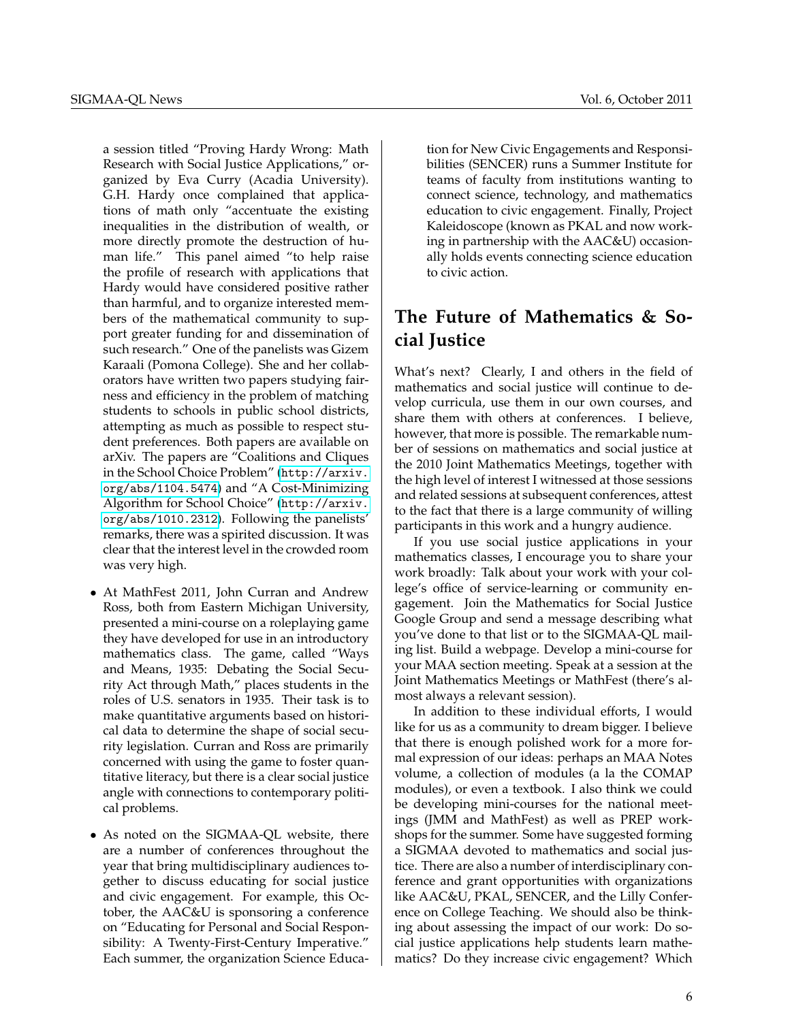a session titled "Proving Hardy Wrong: Math Research with Social Justice Applications," organized by Eva Curry (Acadia University). G.H. Hardy once complained that applications of math only "accentuate the existing inequalities in the distribution of wealth, or more directly promote the destruction of human life." This panel aimed "to help raise the profile of research with applications that Hardy would have considered positive rather than harmful, and to organize interested members of the mathematical community to support greater funding for and dissemination of such research." One of the panelists was Gizem Karaali (Pomona College). She and her collaborators have written two papers studying fairness and efficiency in the problem of matching students to schools in public school districts, attempting as much as possible to respect student preferences. Both papers are available on arXiv. The papers are "Coalitions and Cliques in the School Choice Problem" ([http://arxiv.](http://arxiv.org/abs/1104.5474) [org/abs/1104.5474](http://arxiv.org/abs/1104.5474)) and "A Cost-Minimizing Algorithm for School Choice" ([http://arxiv.](http://arxiv.org/abs/1010.2312) [org/abs/1010.2312](http://arxiv.org/abs/1010.2312)). Following the panelists' remarks, there was a spirited discussion. It was clear that the interest level in the crowded room was very high.

- At MathFest 2011, John Curran and Andrew Ross, both from Eastern Michigan University, presented a mini-course on a roleplaying game they have developed for use in an introductory mathematics class. The game, called "Ways and Means, 1935: Debating the Social Security Act through Math," places students in the roles of U.S. senators in 1935. Their task is to make quantitative arguments based on historical data to determine the shape of social security legislation. Curran and Ross are primarily concerned with using the game to foster quantitative literacy, but there is a clear social justice angle with connections to contemporary political problems.
- As noted on the SIGMAA-QL website, there are a number of conferences throughout the year that bring multidisciplinary audiences together to discuss educating for social justice and civic engagement. For example, this October, the AAC&U is sponsoring a conference on "Educating for Personal and Social Responsibility: A Twenty-First-Century Imperative." Each summer, the organization Science Educa-

tion for New Civic Engagements and Responsibilities (SENCER) runs a Summer Institute for teams of faculty from institutions wanting to connect science, technology, and mathematics education to civic engagement. Finally, Project Kaleidoscope (known as PKAL and now working in partnership with the AAC&U) occasionally holds events connecting science education to civic action.

## **The Future of Mathematics & Social Justice**

What's next? Clearly, I and others in the field of mathematics and social justice will continue to develop curricula, use them in our own courses, and share them with others at conferences. I believe, however, that more is possible. The remarkable number of sessions on mathematics and social justice at the 2010 Joint Mathematics Meetings, together with the high level of interest I witnessed at those sessions and related sessions at subsequent conferences, attest to the fact that there is a large community of willing participants in this work and a hungry audience.

If you use social justice applications in your mathematics classes, I encourage you to share your work broadly: Talk about your work with your college's office of service-learning or community engagement. Join the Mathematics for Social Justice Google Group and send a message describing what you've done to that list or to the SIGMAA-QL mailing list. Build a webpage. Develop a mini-course for your MAA section meeting. Speak at a session at the Joint Mathematics Meetings or MathFest (there's almost always a relevant session).

In addition to these individual efforts, I would like for us as a community to dream bigger. I believe that there is enough polished work for a more formal expression of our ideas: perhaps an MAA Notes volume, a collection of modules (a la the COMAP modules), or even a textbook. I also think we could be developing mini-courses for the national meetings (JMM and MathFest) as well as PREP workshops for the summer. Some have suggested forming a SIGMAA devoted to mathematics and social justice. There are also a number of interdisciplinary conference and grant opportunities with organizations like AAC&U, PKAL, SENCER, and the Lilly Conference on College Teaching. We should also be thinking about assessing the impact of our work: Do social justice applications help students learn mathematics? Do they increase civic engagement? Which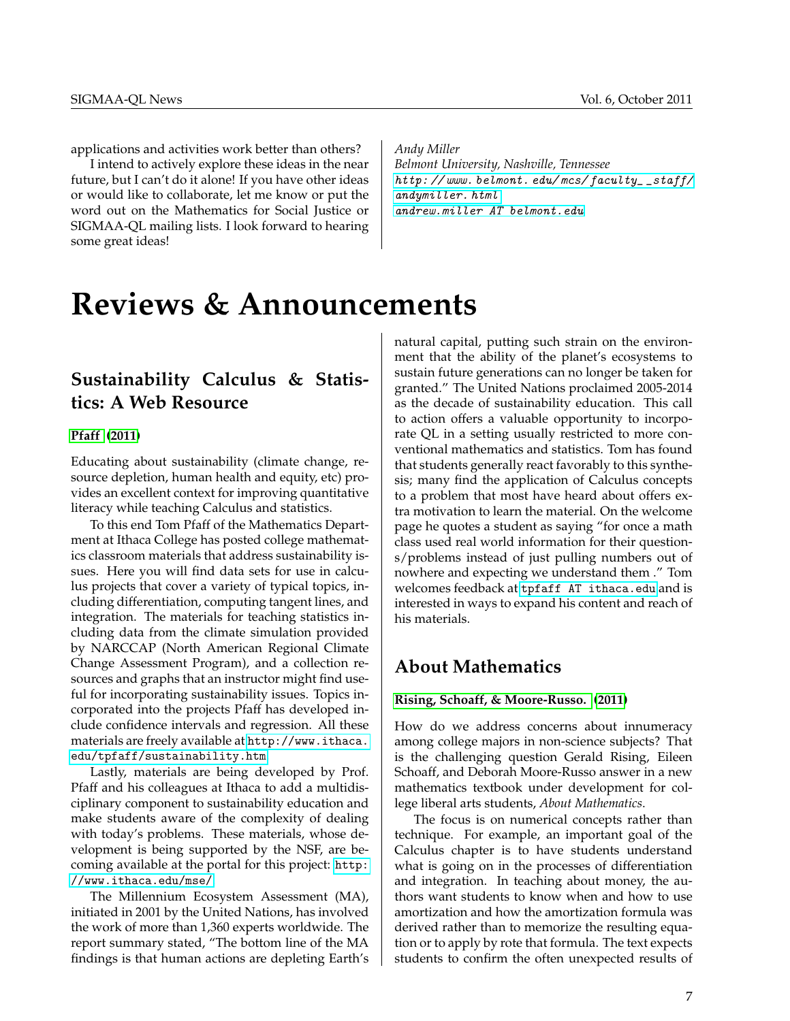applications and activities work better than others?

I intend to actively explore these ideas in the near future, but I can't do it alone! If you have other ideas or would like to collaborate, let me know or put the word out on the Mathematics for Social Justice or SIGMAA-QL mailing lists. I look forward to hearing some great ideas!

*Andy Miller Belmont University, Nashville, Tennessee* http://www.belmont.edu/mcs/faculty\_\_staff/ [andymiller. html](http://www.belmont.edu/mcs/faculty__staff/andymiller.html) [andrew.miller AT belmont.edu](mailto:andrew.miller@belmont.edu)

## <span id="page-6-0"></span>**Reviews & Announcements**

## **Sustainability Calculus & Statistics: A Web Resource**

### **[Pfaff](#page-7-1) [\(2011\)](#page-7-1)**

Educating about sustainability (climate change, resource depletion, human health and equity, etc) provides an excellent context for improving quantitative literacy while teaching Calculus and statistics.

To this end Tom Pfaff of the Mathematics Department at Ithaca College has posted college mathematics classroom materials that address sustainability issues. Here you will find data sets for use in calculus projects that cover a variety of typical topics, including differentiation, computing tangent lines, and integration. The materials for teaching statistics including data from the climate simulation provided by NARCCAP (North American Regional Climate Change Assessment Program), and a collection resources and graphs that an instructor might find useful for incorporating sustainability issues. Topics incorporated into the projects Pfaff has developed include confidence intervals and regression. All these materials are freely available at [http://www.ithaca.](http://www.ithaca.edu/tpfaff/sustainability.htm) [edu/tpfaff/sustainability.htm](http://www.ithaca.edu/tpfaff/sustainability.htm).

Lastly, materials are being developed by Prof. Pfaff and his colleagues at Ithaca to add a multidisciplinary component to sustainability education and make students aware of the complexity of dealing with today's problems. These materials, whose development is being supported by the NSF, are becoming available at the portal for this project: [http:](http://www.ithaca.edu/mse/) [//www.ithaca.edu/mse/](http://www.ithaca.edu/mse/).

The Millennium Ecosystem Assessment (MA), initiated in 2001 by the United Nations, has involved the work of more than 1,360 experts worldwide. The report summary stated, "The bottom line of the MA findings is that human actions are depleting Earth's natural capital, putting such strain on the environment that the ability of the planet's ecosystems to sustain future generations can no longer be taken for granted." The United Nations proclaimed 2005-2014 as the decade of sustainability education. This call to action offers a valuable opportunity to incorporate QL in a setting usually restricted to more conventional mathematics and statistics. Tom has found that students generally react favorably to this synthesis; many find the application of Calculus concepts to a problem that most have heard about offers extra motivation to learn the material. On the welcome page he quotes a student as saying "for once a math class used real world information for their questions/problems instead of just pulling numbers out of nowhere and expecting we understand them ." Tom welcomes feedback at [tpfaff AT ithaca.edu](mailto:tpfaff@ithaca.edu) and is interested in ways to expand his content and reach of his materials.

## **About Mathematics**

### **[Rising, Schoaff, & Moore-Russo.](#page-7-2) [\(2011\)](#page-7-2)**

How do we address concerns about innumeracy among college majors in non-science subjects? That is the challenging question Gerald Rising, Eileen Schoaff, and Deborah Moore-Russo answer in a new mathematics textbook under development for college liberal arts students, *About Mathematics*.

The focus is on numerical concepts rather than technique. For example, an important goal of the Calculus chapter is to have students understand what is going on in the processes of differentiation and integration. In teaching about money, the authors want students to know when and how to use amortization and how the amortization formula was derived rather than to memorize the resulting equation or to apply by rote that formula. The text expects students to confirm the often unexpected results of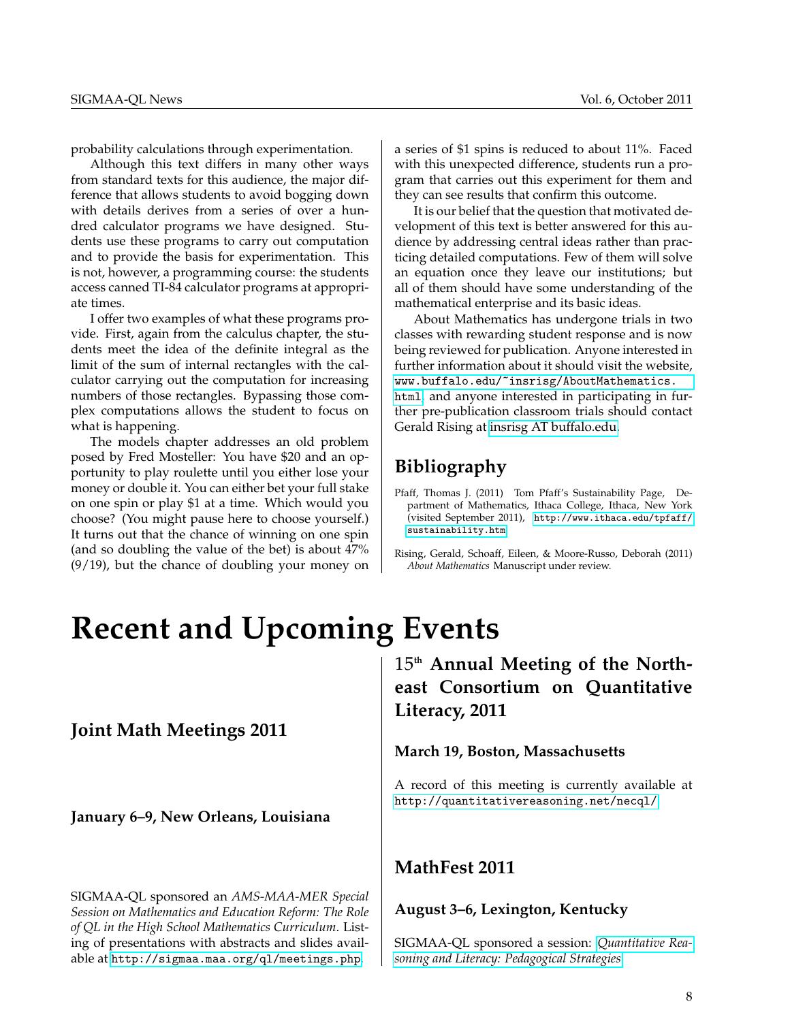probability calculations through experimentation.

Although this text differs in many other ways from standard texts for this audience, the major difference that allows students to avoid bogging down with details derives from a series of over a hundred calculator programs we have designed. Students use these programs to carry out computation and to provide the basis for experimentation. This is not, however, a programming course: the students access canned TI-84 calculator programs at appropriate times.

I offer two examples of what these programs provide. First, again from the calculus chapter, the students meet the idea of the definite integral as the limit of the sum of internal rectangles with the calculator carrying out the computation for increasing numbers of those rectangles. Bypassing those complex computations allows the student to focus on what is happening.

The models chapter addresses an old problem posed by Fred Mosteller: You have \$20 and an opportunity to play roulette until you either lose your money or double it. You can either bet your full stake on one spin or play \$1 at a time. Which would you choose? (You might pause here to choose yourself.) It turns out that the chance of winning on one spin (and so doubling the value of the bet) is about 47% (9/19), but the chance of doubling your money on

a series of \$1 spins is reduced to about 11%. Faced with this unexpected difference, students run a program that carries out this experiment for them and they can see results that confirm this outcome.

It is our belief that the question that motivated development of this text is better answered for this audience by addressing central ideas rather than practicing detailed computations. Few of them will solve an equation once they leave our institutions; but all of them should have some understanding of the mathematical enterprise and its basic ideas.

About Mathematics has undergone trials in two classes with rewarding student response and is now being reviewed for publication. Anyone interested in further information about it should visit the website, [www.buffalo.edu/~insrisg/AboutMathematics.](www.buffalo.edu/~insrisg/AboutMathematics.html) [html](www.buffalo.edu/~insrisg/AboutMathematics.html), and anyone interested in participating in further pre-publication classroom trials should contact Gerald Rising at [insrisg AT buffalo.edu.](mailto:insrisg@buffalo.edu)

## **Bibliography**

- <span id="page-7-1"></span>Pfaff, Thomas J. (2011) Tom Pfaff's Sustainability Page, Department of Mathematics, Ithaca College, Ithaca, New York (visited September 2011), [http://www.ithaca.edu/tpfaff/](http://www.ithaca.edu/tpfaff/sustainability.htm) [sustainability.htm](http://www.ithaca.edu/tpfaff/sustainability.htm).
- <span id="page-7-2"></span>Rising, Gerald, Schoaff, Eileen, & Moore-Russo, Deborah (2011) *About Mathematics* Manuscript under review.

## <span id="page-7-0"></span>**Recent and Upcoming Events**

## **Joint Math Meetings 2011**

**January 6–9, New Orleans, Louisiana**

SIGMAA-QL sponsored an *AMS-MAA-MER Special Session on Mathematics and Education Reform: The Role of QL in the High School Mathematics Curriculum*. Listing of presentations with abstracts and slides available at <http://sigmaa.maa.org/ql/meetings.php>.

15**th Annual Meeting of the Northeast Consortium on Quantitative Literacy, 2011**

### **March 19, Boston, Massachusetts**

A record of this meeting is currently available at <http://quantitativereasoning.net/necql/>.

## **MathFest 2011**

### **August 3–6, Lexington, Kentucky**

SIGMAA-QL sponsored a session: *[Quantitative Rea](http://www.maa.org/mathfest/cps.html#ql)[soning and Literacy: Pedagogical Strategies](http://www.maa.org/mathfest/cps.html#ql)*